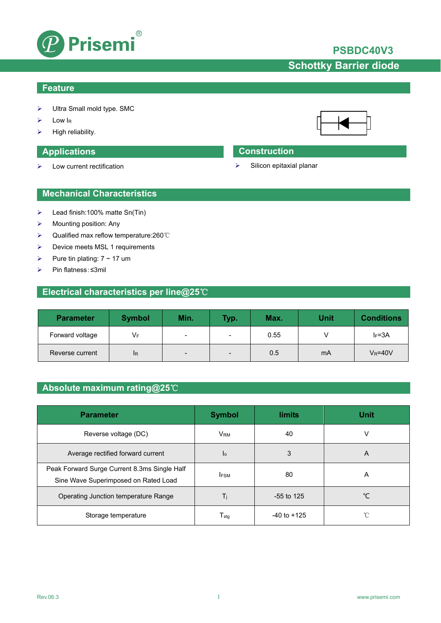

# **PSBDC40V3**

# **Schottky Barrier diode**

### **Feature**

- Ultra Small mold type. SMC
- $\triangleright$  Low I<sub>R</sub>
- High reliability.

 $\triangleright$  Low current rectification

### **Applications Construction**

 $\triangleright$  Silicon epitaxial planar

### **Mechanical Characteristics**

- $\blacktriangleright$  Lead finish:100% matte Sn(Tin)
- $\triangleright$  Mounting position: Any
- Qualified max reflow temperature:260℃
- > Device meets MSL 1 requirements
- Pure tin plating:  $7 \sim 17$  um
- Pin flatness:≤3mil

## **Electrical characteristics per line@25**℃

| <b>Parameter</b> | <b>Symbol</b> | Min.            | Typ.           | Max. | <b>Unit</b> | <b>Conditions</b> |
|------------------|---------------|-----------------|----------------|------|-------------|-------------------|
| Forward voltage  | VF            | $\blacksquare$  | $\blacksquare$ | 0.55 |             | $I_F = 3A$        |
| Reverse current  | <b>IR</b>     | $\qquad \qquad$ | $\blacksquare$ | 0.5  | mA          | $V_R = 40V$       |

## **Absolute maximum rating@25**℃

| <b>Parameter</b>                                                                     | <b>Symbol</b>          | <b>limits</b>   | Unit |
|--------------------------------------------------------------------------------------|------------------------|-----------------|------|
| Reverse voltage (DC)                                                                 | <b>V</b> <sub>RM</sub> | 40              | v    |
| Average rectified forward current                                                    | l <sub>o</sub>         | 3               | A    |
| Peak Forward Surge Current 8.3ms Single Half<br>Sine Wave Superimposed on Rated Load | <b>IFSM</b>            | 80              | A    |
| Operating Junction temperature Range                                                 | Τi                     | $-55$ to 125    | °C   |
| Storage temperature                                                                  | $T_{\sf stq}$          | $-40$ to $+125$ | °C   |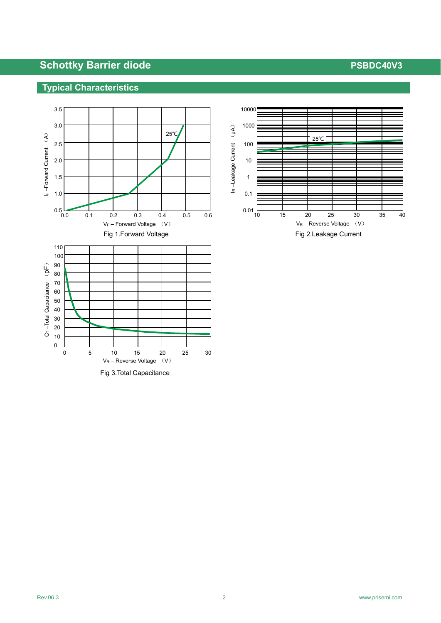# **Schottky Barrier diode PSBDC40V3**

## **Typical Characteristics**



Fig 3.Total Capacitance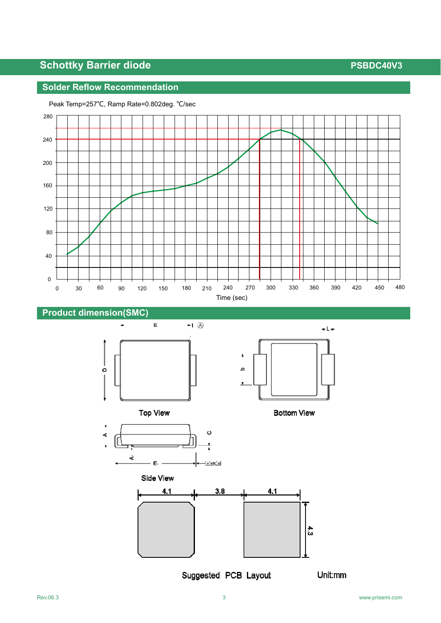# **Schottky Barrier diode PSBDC40V3**

# **Solder Reflow Recommendation**



### Peak Temp=257℃, Ramp Rate=0.802deg. ℃/sec





**Bottom View** 





Suggested PCB Layout

Unit:mm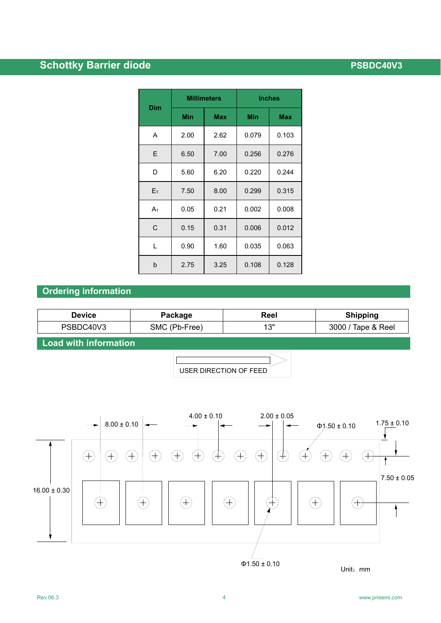# **Schottky Barrier diode PSBDC40V3**

|            |            | <b>Millimeters</b> | <b>Inches</b> |            |  |
|------------|------------|--------------------|---------------|------------|--|
| <b>Dim</b> | <b>Min</b> | <b>Max</b>         | <b>Min</b>    | <b>Max</b> |  |
| A          | 2.00       | 2.62               | 0.079         | 0.103      |  |
| E          | 6.50       | 7.00               | 0.256         | 0.276      |  |
| D          | 5.60       | 6.20               | 0.220         | 0.244      |  |
| $E_1$      | 7.50       | 8.00               | 0.299         | 0.315      |  |
| A1         | 0.05       | 0.21               | 0.002         | 0.008      |  |
| C          | 0.15       | 0.31               | 0.006         | 0.012      |  |
| L          | 0.90       | 1.60               | 0.035         | 0.063      |  |
| b          | 2.75       | 3.25               | 0.108         | 0.128      |  |

## **Ordering information**

| Device    | Package       | Reel | <b>Shipping</b>    |
|-----------|---------------|------|--------------------|
| PSBDC40V3 | SMC (Pb-Free) | 4 วแ | 3000 / Tape & Reel |

**Load with information**